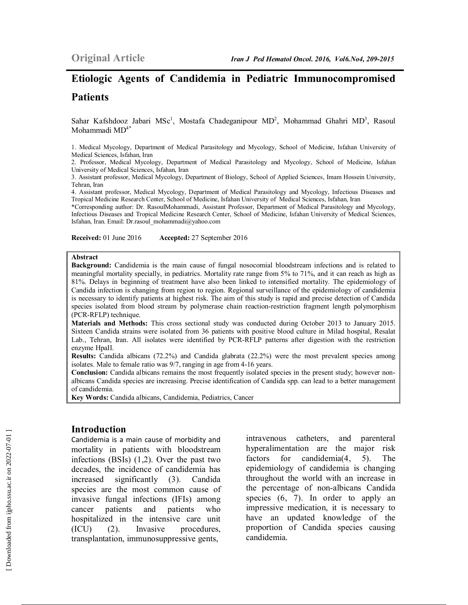# **Etiologic Agents of Candidemia in Pediatric Immunocompromised Patients**

Sahar Kafshdooz Jabari MSc<sup>1</sup>, Mostafa Chadeganipour MD<sup>2</sup>, Mohammad Ghahri MD<sup>3</sup>, Rasoul Mohammadi MD4\*

1. Medical Mycology, Department of Medical Parasitology and Mycology, School of Medicine, Isfahan University of Medical Sciences, Isfahan, Iran

2. Professor, Medical Mycology, Department of Medical Parasitology and Mycology, School of Medicine, Isfahan University of Medical Sciences, Isfahan, Iran

3. Assistant professor, Medical Mycology, Department of Biology, School of Applied Sciences, Imam Hossein University, Tehran, Iran

4. Assistant professor, Medical Mycology, Department of Medical Parasitology and Mycology, Infectious Diseases and Tropical Medicine Research Center, School of Medicine, Isfahan University of Medical Sciences, Isfahan, Iran

\*Corresponding author: Dr. RasoulMohammadi, Assistant Professor, Department of Medical Parasitology and Mycology, Infectious Diseases and Tropical Medicine Research Center, School of Medicine, Isfahan University of Medical Sciences, Isfahan, Iran. Email: Dr.rasoul\_mohammadi@yahoo.com

**Received:** 01 June 2016 **Accepted:** 27 September 2016

#### **Abstract**

**Background:** Candidemia is the main cause of fungal nosocomial bloodstream infections and is related to meaningful mortality specially, in pediatrics. Mortality rate range from 5% to 71%, and it can reach as high as 81%. Delays in beginning of treatment have also been linked to intensified mortality. The epidemiology of Candida infection is changing from region to region. Regional surveillance of the epidemiology of candidemia is necessary to identify patients at highest risk. The aim of this study is rapid and precise detection of Candida species isolated from blood stream by polymerase chain reaction-restriction fragment length polymorphism (PCR-RFLP) technique.

**Materials and Methods:** This cross sectional study was conducted during October 2013 to January 2015. Sixteen Candida strains were isolated from 36 patients with positive blood culture in Milad hospital, Resalat Lab., Tehran, Iran. All isolates were identified by PCR-RFLP patterns after digestion with the restriction enzyme HpaII.

**Results:** Candida albicans (72.2%) and Candida glabrata (22.2%) were the most prevalent species among isolates. Male to female ratio was 9/7, ranging in age from 4-16 years.

**Conclusion:** Candida albicans remains the most frequently isolated species in the present study; however nonalbicans Candida species are increasing. Precise identification of Candida spp. can lead to a better management of candidemia.

**Key Words:** Candida albicans, Candidemia, Pediatrics, Cancer

#### **Introduction**

Candidemia is a main cause of morbidity and mortality in patients with bloodstream infections (BSIs) (1,2). Over the past two decades, the incidence of candidemia has increased significantly (3). Candida species are the most common cause of invasive fungal infections (IFIs) among cancer patients and patients who hospitalized in the intensive care unit (ICU) (2). Invasive procedures, transplantation, immunosuppressive gents,

intravenous catheters, and parenteral hyperalimentation are the major risk factors for candidemia(4, 5). The epidemiology of candidemia is changing throughout the world with an increase in the percentage of non-albicans Candida species  $(6, 7)$ . In order to apply an impressive medication, it is necessary to have an updated knowledge of the proportion of Candida species causing candidemia.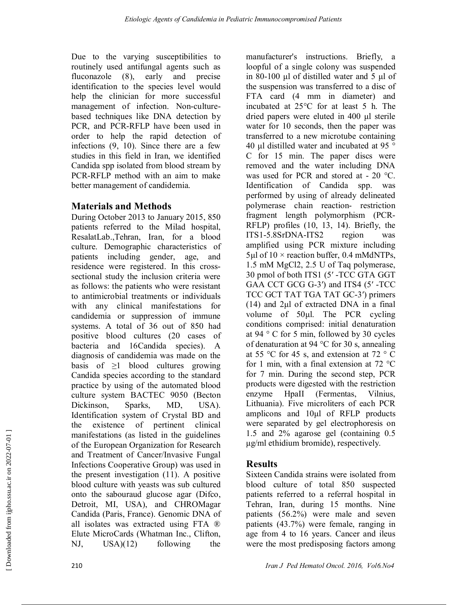Due to the varying susceptibilities to routinely used antifungal agents such as fluconazole (8), early and precise identification to the species level would help the clinician for more successful management of infection. Non-culturebased techniques like DNA detection by PCR, and PCR-RFLP have been used in order to help the rapid detection of infections (9, 10). Since there are a few studies in this field in Iran, we identified Candida spp isolated from blood stream by PCR-RFLP method with an aim to make better management of candidemia.

## **Materials and Methods**

During October 2013 to January 2015, 850 patients referred to the Milad hospital, ResalatLab.,Tehran, Iran, for a blood culture. Demographic characteristics of patients including gender, age, and residence were registered. In this crosssectional study the inclusion criteria were as follows: the patients who were resistant to antimicrobial treatments or individuals with any clinical manifestations for candidemia or suppression of immune systems. A total of 36 out of 850 had positive blood cultures (20 cases of bacteria and 16Candida species). A diagnosis of candidemia was made on the basis of  $\geq$ 1 blood cultures growing Candida species according to the standard practice by using of the automated blood culture system BACTEC 9050 (Becton Dickinson, Sparks, MD, USA). Identification system of Crystal BD and the existence of pertinent clinical manifestations (as listed in the guidelines of the European Organization for Research and Treatment of Cancer/Invasive Fungal Infections Cooperative Group) was used in the present investigation (11). A positive blood culture with yeasts was sub cultured onto the sabouraud glucose agar (Difco, Detroit, MI, USA), and CHROMagar Candida (Paris, France). Genomic DNA of all isolates was extracted using FTA ® Elute MicroCards (Whatman Inc., Clifton, NJ, USA)(12) following the

manufacturer's instructions. Briefly, a loopful of a single colony was suspended in 80-100 μl of distilled water and 5 μl of the suspension was transferred to a disc of FTA card  $(4 \text{ mm} \text{ in diameter})$  and incubated at 25°C for at least 5 h. The dried papers were eluted in 400 μl sterile water for 10 seconds, then the paper was transferred to a new microtube containing 40 μl distilled water and incubated at 95 ° C for 15 min. The paper discs were removed and the water including DNA was used for PCR and stored at - 20 °C. Identification of Candida spp. was performed by using of already delineated polymerase chain reaction- restriction fragment length polymorphism (PCR-RFLP) profiles (10, 13, 14). Briefly, the ITS1-5.8SrDNA-ITS2 region was amplified using PCR mixture including  $5\mu$ l of  $10 \times$  reaction buffer, 0.4 mMdNTPs, 1.5 mM MgCl2, 2.5 U of Taq polymerase, 30 pmol of both ITS1 (5′ -TCC GTA GGT GAA CCT GCG G-3') and ITS4 (5' -TCC TCC GCT TAT TGA TAT GC-3′) primers (14) and 2μl of extracted DNA in a final volume of 50μl. The PCR cycling conditions comprised: initial denaturation at 94 ° C for 5 min, followed by 30 cycles of denaturation at 94 °C for 30 s, annealing at 55 °C for 45 s, and extension at 72 °C for 1 min, with a final extension at 72 °C for 7 min. During the second step, PCR products were digested with the restriction enzyme HpaII (Fermentas, Vilnius, Lithuania). Five microliters of each PCR amplicons and 10μl of RFLP products were separated by gel electrophoresis on 1.5 and 2% agarose gel (containing 0.5 μg/ml ethidium bromide), respectively.

# **Results**

Sixteen Candida strains were isolated from blood culture of total 850 suspected patients referred to a referral hospital in Tehran, Iran, during 15 months. Nine patients (56.2%) were male and seven patients (43.7%) were female, ranging in age from 4 to 16 years. Cancer and ileus were the most predisposing factors among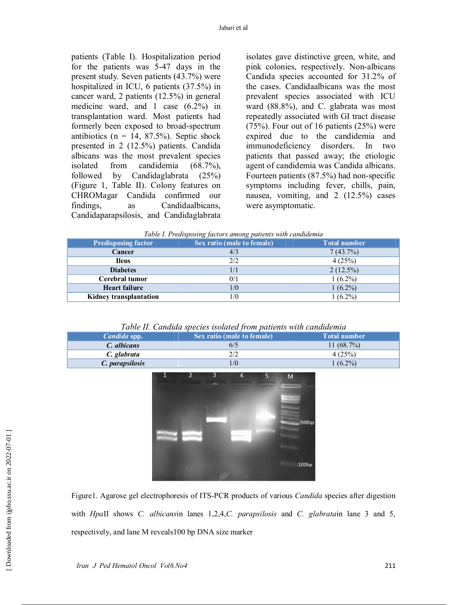patients (Table I). Hospitalization period for the patients was 5-47 days in the present study. Seven patients (43.7%) were hospitalized in ICU, 6 patients (37.5%) in cancer ward, 2 patients (12.5%) in general medicine ward, and 1 case (6.2%) in transplantation ward. Most patients had formerly been exposed to broad-spectrum antibiotics ( $n = 14, 87.5\%$ ). Septic shock presented in 2 (12.5%) patients. Candida albicans was the most prevalent species isolated from candidemia (68.7%), followed by Candidaglabrata (25%) (Figure 1, Table II). Colony features on CHROMagar Candida confirmed our findings, as Candidaalbicans, Candidaparapsilosis, and Candidaglabrata

isolates gave distinctive green, white, and pink colonies, respectively. Non-albicans Candida species accounted for 31.2% of the cases. Candidaalbicans was the most prevalent species associated with ICU ward (88.8%), and C. glabrata was most repeatedly associated with GI tract disease  $(75%)$ . Four out of 16 patients  $(25%)$  were expired due to the candidemia and immunodeficiency disorders. In two patients that passed away; the etiologic agent of candidemia was Candida albicans. Fourteen patients (87.5%) had non-specific symptoms including fever, chills, pain, nausea, vomiting, and 2 (12.5%) cases were asymptomatic.

| Table I. Predisposing factors among patients with candidemia |
|--------------------------------------------------------------|
|--------------------------------------------------------------|

| <b>Predisposing factor</b>    | Sex ratio (male to female) | <b>Total number</b> |
|-------------------------------|----------------------------|---------------------|
| Cancer                        |                            | 7(43.7%)            |
| <b>Ileus</b>                  | 2/2                        | 4(25%)              |
| <b>Diabetes</b>               |                            | $2(12.5\%)$         |
| Cerebral tumor                | 0/1                        | $1(6.2\%)$          |
| <b>Heart failure</b>          | 1/0                        | $1(6.2\%)$          |
| <b>Kidney transplantation</b> | $\sqrt{0}$                 | $1(6.2\%)$          |

*Table II. Candida species isolated from patients with candidemia* 

| Candida spp.    | Sex ratio (male to female) | <b>Total number</b> |
|-----------------|----------------------------|---------------------|
| C. albicans     | 6/5                        | 11 $(68.7\%)$       |
| C. glabrata     |                            | 4(25%)              |
| C. parapsilosis | $\sqrt{0}$                 | $1(6.2\%)$          |



Figure1. Agarose gel electrophoresis of ITS-PCR products of various *Candida* species after digestion with *Hpa*II shows *C. albicans*in lanes 1,2,4,*C. parapsilosis* and *C. glabrata*in lane 3 and 5, respectively, and lane M reveals100 bp DNA size marker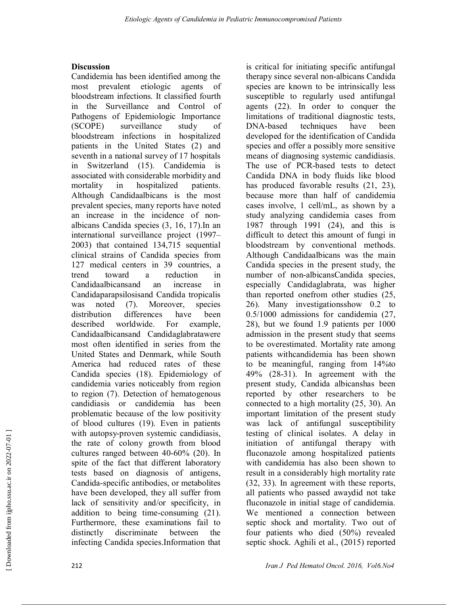### **Discussion**

Candidemia has been identified among the most prevalent etiologic agents of bloodstream infections. It classified fourth in the Surveillance and Control of Pathogens of Epidemiologic Importance (SCOPE) surveillance study of bloodstream infections in hospitalized patients in the United States (2) and seventh in a national survey of 17 hospitals in Switzerland (15). Candidemia is associated with considerable morbidity and mortality in hospitalized patients. Although Candidaalbicans is the most prevalent species, many reports have noted an increase in the incidence of nonalbicans Candida species (3, 16, 17).In an international surveillance project (1997– 2003) that contained 134,715 sequential clinical strains of Candida species from 127 medical centers in 39 countries, a trend toward a reduction in Candidaalbicansand an increase in Candidaparapsilosisand Candida tropicalis was noted (7). Moreover, species distribution differences have been described worldwide. For example, Candidaalbicansand Candidaglabratawere most often identified in series from the United States and Denmark, while South America had reduced rates of these Candida species (18). Epidemiology of candidemia varies noticeably from region to region (7). Detection of hematogenous candidiasis or candidemia has been problematic because of the low positivity of blood cultures (19). Even in patients with autopsy-proven systemic candidiasis, the rate of colony growth from blood cultures ranged between 40-60% (20). In spite of the fact that different laboratory tests based on diagnosis of antigens, Candida-specific antibodies, or metabolites have been developed, they all suffer from lack of sensitivity and/or specificity, in addition to being time-consuming (21). Furthermore, these examinations fail to distinctly discriminate between the infecting Candida species.Information that

is critical for initiating specific antifungal therapy since several non-albicans Candida species are known to be intrinsically less susceptible to regularly used antifungal agents (22). In order to conquer the limitations of traditional diagnostic tests, DNA-based techniques have been developed for the identification of Candida species and offer a possibly more sensitive means of diagnosing systemic candidiasis. The use of PCR-based tests to detect Candida DNA in body fluids like blood has produced favorable results  $(21, 23)$ , because more than half of candidemia cases involve, 1 cell/mL, as shown by a study analyzing candidemia cases from 1987 through 1991 (24), and this is difficult to detect this amount of fungi in bloodstream by conventional methods. Although Candidaalbicans was the main Candida species in the present study, the number of non-albicansCandida species, especially Candidaglabrata, was higher than reported onefrom other studies (25, 26). Many investigationsshow 0.2 to 0.5/1000 admissions for candidemia (27, 28), but we found 1.9 patients per 1000 admission in the present study that seems to be overestimated. Mortality rate among patients withcandidemia has been shown to be meaningful, ranging from 14%to 49% (28-31). In agreement with the present study, Candida albicanshas been reported by other researchers to be connected to a high mortality (25, 30). An important limitation of the present study was lack of antifungal susceptibility testing of clinical isolates. A delay in initiation of antifungal therapy with fluconazole among hospitalized patients with candidemia has also been shown to result in a considerably high mortality rate (32, 33). In agreement with these reports, all patients who passed awaydid not take fluconazole in initial stage of candidemia. We mentioned a connection between septic shock and mortality. Two out of four patients who died (50%) revealed septic shock. Aghili et al., (2015) reported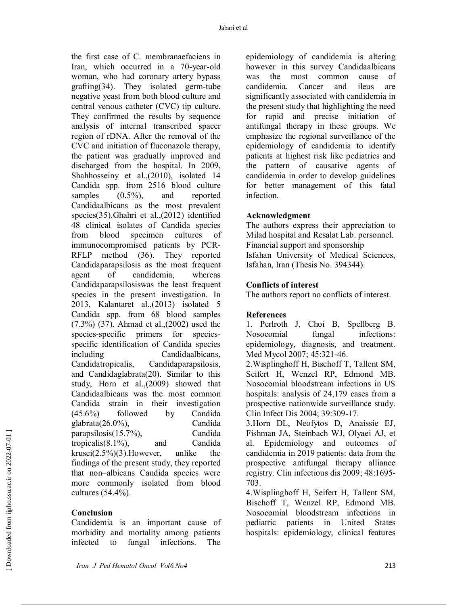the first case of C. membranaefaciens in Iran, which occurred in a 70-year-old woman, who had coronary artery bypass grafting(34). They isolated germ-tube negative yeast from both blood culture and central venous catheter (CVC) tip culture. They confirmed the results by sequence analysis of internal transcribed spacer region of rDNA. After the removal of the CVC and initiation of fluconazole therapy, the patient was gradually improved and discharged from the hospital. In 2009, Shahhosseiny et al.,(2010), isolated 14 Candida spp. from 2516 blood culture samples  $(0.5\%)$ , and reported Candidaalbicans as the most prevalent species(35).Ghahri et al.,(2012) identified 48 clinical isolates of Candida species from blood specimen cultures of immunocompromised patients by PCR-RFLP method (36). They reported Candidaparapsilosis as the most frequent agent of candidemia, whereas Candidaparapsilosiswas the least frequent species in the present investigation. In 2013, Kalantaret al.,(2013) isolated 5 Candida spp. from 68 blood samples (7.3%) (37). Ahmad et al.,(2002) used the species-specific primers for speciesspecific identification of Candida species including Candidaalbicans, Candidatropicalis, Candidaparapsilosis, and Candidaglabrata(20). Similar to this study, Horn et al.,(2009) showed that Candidaalbicans was the most common Candida strain in their investigation (45.6%) followed by Candida glabrata(26.0%), Candida parapsilosis(15.7%), Candida tropicalis(8.1%), and Candida krusei $(2.5\%)$ (3). However, unlike the findings of the present study, they reported that non–albicans Candida species were more commonly isolated from blood cultures (54.4%).

### **Conclusion**

Candidemia is an important cause of morbidity and mortality among patients infected to fungal infections. The

epidemiology of candidemia is altering however in this survey Candidaalbicans was the most common cause of candidemia. Cancer and ileus are significantly associated with candidemia in the present study that highlighting the need for rapid and precise initiation of antifungal therapy in these groups. We emphasize the regional surveillance of the epidemiology of candidemia to identify patients at highest risk like pediatrics and the pattern of causative agents of candidemia in order to develop guidelines for better management of this fatal infection.

#### **Acknowledgment**

The authors express their appreciation to Milad hospital and Resalat Lab. personnel. Financial support and sponsorship Isfahan University of Medical Sciences, Isfahan, Iran (Thesis No. 394344).

#### **Conflicts of interest**

The authors report no conflicts of interest.

### **References**

1. Perlroth J, Choi B, Spellberg B. Nosocomial fungal infections: epidemiology, diagnosis, and treatment. Med Mycol 2007; 45:321-46.

2.Wisplinghoff H, Bischoff T, Tallent SM, Seifert H, Wenzel RP, Edmond MB. Nosocomial bloodstream infections in US hospitals: analysis of 24,179 cases from a prospective nationwide surveillance study. Clin Infect Dis 2004; 39:309-17.

3.Horn DL, Neofytos D, Anaissie EJ, Fishman JA, Steinbach WJ, Olyaei AJ, et al. Epidemiology and outcomes of candidemia in 2019 patients: data from the prospective antifungal therapy alliance registry. Clin infectious dis 2009; 48:1695- 703.

4.Wisplinghoff H, Seifert H, Tallent SM, Bischoff T, Wenzel RP, Edmond MB. Nosocomial bloodstream infections in pediatric patients in United States hospitals: epidemiology, clinical features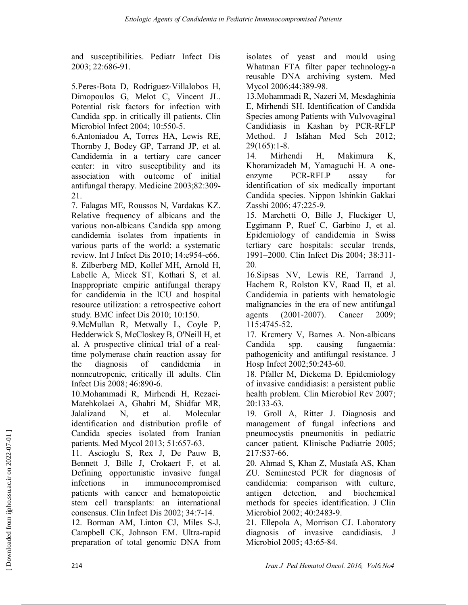and susceptibilities. Pediatr Infect Dis 2003; 22:686-91.

5.Peres‐Bota D, Rodriguez‐Villalobos H, Dimopoulos G, Melot C, Vincent JL. Potential risk factors for infection with Candida spp. in critically ill patients. Clin Microbiol Infect 2004; 10:550-5.

6.Antoniadou A, Torres HA, Lewis RE, Thornby J, Bodey GP, Tarrand JP, et al. Candidemia in a tertiary care cancer center: in vitro susceptibility and its association with outcome of initial antifungal therapy. Medicine 2003;82:309- 21.

7. Falagas ME, Roussos N, Vardakas KZ. Relative frequency of albicans and the various non-albicans Candida spp among candidemia isolates from inpatients in various parts of the world: a systematic review. Int J Infect Dis 2010; 14:e954-e66. 8. Zilberberg MD, Kollef MH, Arnold H, Labelle A, Micek ST, Kothari S, et al. Inappropriate empiric antifungal therapy for candidemia in the ICU and hospital resource utilization: a retrospective cohort study. BMC infect Dis 2010; 10:150.

9.McMullan R, Metwally L, Coyle P, Hedderwick S, McCloskey B, O'Neill H, et al. A prospective clinical trial of a realtime polymerase chain reaction assay for the diagnosis of candidemia in nonneutropenic, critically ill adults. Clin Infect Dis 2008; 46:890-6.

10.Mohammadi R, Mirhendi H, Rezaei-Matehkolaei A, Ghahri M, Shidfar MR, Jalalizand N, et al. Molecular identification and distribution profile of Candida species isolated from Iranian patients. Med Mycol 2013; 51:657-63.

11. Ascioglu S, Rex J, De Pauw B, Bennett J, Bille J, Crokaert F, et al. Defining opportunistic invasive fungal infections in immunocompromised patients with cancer and hematopoietic stem cell transplants: an international consensus. Clin Infect Dis 2002; 34:7-14.

12. Borman AM, Linton CJ, Miles S-J, Campbell CK, Johnson EM. Ultra-rapid preparation of total genomic DNA from isolates of yeast and mould using Whatman FTA filter paper technology-a reusable DNA archiving system. Med Mycol 2006;44:389-98.

13.Mohammadi R, Nazeri M, Mesdaghinia E, Mirhendi SH. Identification of Candida Species among Patients with Vulvovaginal Candidiasis in Kashan by PCR-RFLP Method. J Isfahan Med Sch 2012;  $29(165):1-8.$ 

14. Mirhendi H, Makimura K, Khoramizadeh M, Yamaguchi H. A oneenzyme PCR-RFLP assay for identification of six medically important Candida species. Nippon Ishinkin Gakkai Zasshi 2006; 47:225-9.

15. Marchetti O, Bille J, Fluckiger U, Eggimann P, Ruef C, Garbino J, et al. Epidemiology of candidemia in Swiss tertiary care hospitals: secular trends, 1991–2000. Clin Infect Dis 2004; 38:311- 20.

16.Sipsas NV, Lewis RE, Tarrand J, Hachem R, Rolston KV, Raad II, et al. Candidemia in patients with hematologic malignancies in the era of new antifungal agents (2001‐2007). Cancer 2009; 115:4745-52.

17. Krcmery V, Barnes A. Non-albicans Candida spp. causing fungaemia: pathogenicity and antifungal resistance. J Hosp Infect 2002;50:243-60.

18. Pfaller M, Diekema D. Epidemiology of invasive candidiasis: a persistent public health problem. Clin Microbiol Rev 2007; 20:133-63.

19. Groll A, Ritter J. Diagnosis and management of fungal infections and pneumocystis pneumonitis in pediatric cancer patient. Klinische Padiatrie 2005; 217:S37-66.

20. Ahmad S, Khan Z, Mustafa AS, Khan ZU. Seminested PCR for diagnosis of candidemia: comparison with culture, antigen detection, and biochemical methods for species identification. J Clin Microbiol 2002; 40:2483-9.

21. Ellepola A, Morrison CJ. Laboratory diagnosis of invasive candidiasis. J Microbiol 2005; 43:65-84.